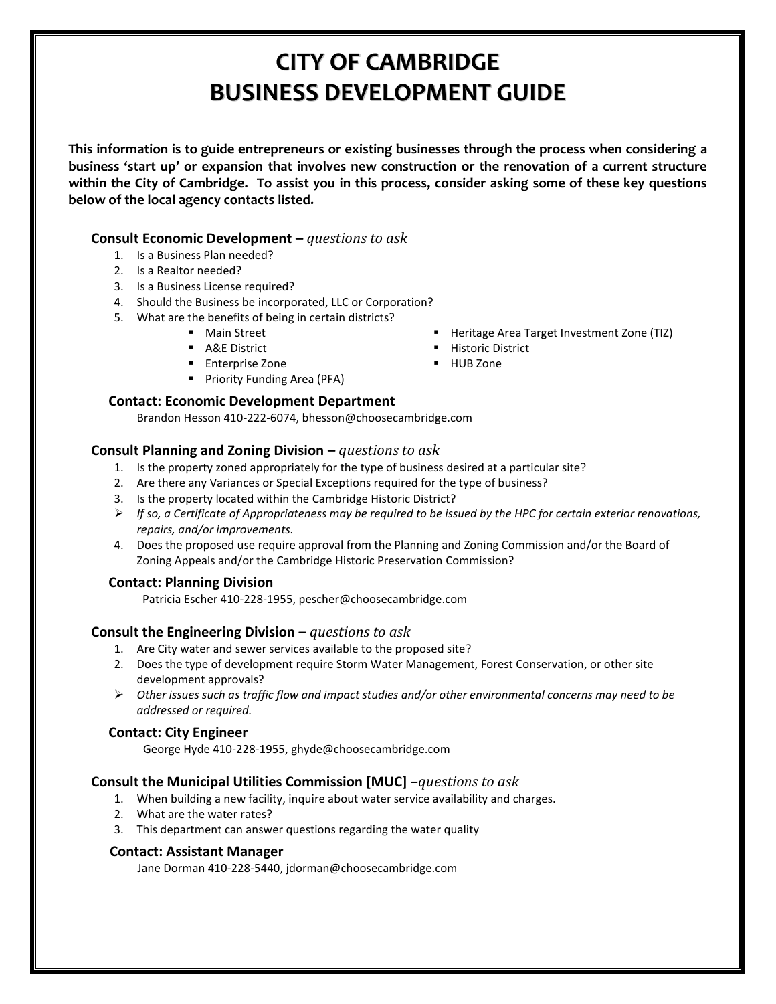# **CITY OF CAMBRIDGE BUSINESS DEVELOPMENT GUIDE**

**This information is to guide entrepreneurs or existing businesses through the process when considering a business 'start up' or expansion that involves new construction or the renovation of a current structure within the City of Cambridge. To assist you in this process, consider asking some of these key questions below of the local agency contacts listed.**

### **Consult Economic Development –** *questions to ask*

- 1. Is a Business Plan needed?
- 2. Is a Realtor needed?
- 3. Is a Business License required?
- 4. Should the Business be incorporated, LLC or Corporation?
- 5. What are the benefits of being in certain districts?
	- **Main Street**
	- **A&E District**
	- **Enterprise Zone**
	- **Priority Funding Area (PFA)**

### **Contact: Economic Development Department**

Brandon Hesson 410-222-6074, bhesson@choosecambridge.com

### **Consult Planning and Zoning Division –** *questions to ask*

- 1. Is the property zoned appropriately for the type of business desired at a particular site?
- 2. Are there any Variances or Special Exceptions required for the type of business?
- 3. Is the property located within the Cambridge Historic District?
- *If so, a Certificate of Appropriateness may be required to be issued by the HPC for certain exterior renovations, repairs, and/or improvements.*
- 4. Does the proposed use require approval from the Planning and Zoning Commission and/or the Board of Zoning Appeals and/or the Cambridge Historic Preservation Commission?

### **Contact: Planning Division**

Patricia Escher 410-228-1955, pescher@choosecambridge.com

### **Consult the Engineering Division –** *questions to ask*

- 1. Are City water and sewer services available to the proposed site?
- 2. Does the type of development require Storm Water Management, Forest Conservation, or other site development approvals?
- *Other issues such as traffic flow and impact studies and/or other environmental concerns may need to be addressed or required.*

### **Contact: City Engineer**

George Hyde 410-228-1955, ghyde@choosecambridge.com

### **Consult the Municipal Utilities Commission [MUC]** *–questions to ask*

- 1. When building a new facility, inquire about water service availability and charges.
- 2. What are the water rates?
- 3. This department can answer questions regarding the water quality

### **Contact: Assistant Manager**

Jane Dorman 410-228-5440, jdorman@choosecambridge.com

- Heritage Area Target Investment Zone (TIZ)
- **Historic District**
- **HUB Zone**